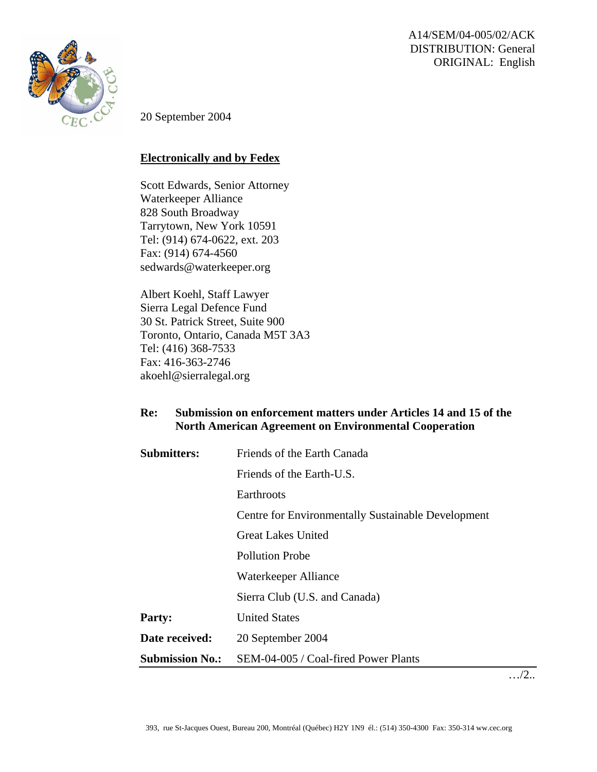A14/SEM/04-005/02/ACK DISTRIBUTION: General ORIGINAL: English



20 September 2004

## **Electronically and by Fedex**

Scott Edwards, Senior Attorney Waterkeeper Alliance 828 South Broadway Tarrytown, New York 10591 Tel: (914) 674-0622, ext. 203 Fax: (914) 674-4560 [sedwards@waterkeeper.org](mailto:sedwards@waterkeeper.org)

Albert Koehl, Staff Lawyer Sierra Legal Defence Fund 30 St. Patrick Street, Suite 900 Toronto, Ontario, Canada M5T 3A3 Tel: (416) 368-7533 Fax: 416-363-2746 akoehl@sierralegal.org

## **Re: Submission on enforcement matters under Articles 14 and 15 of the North American Agreement on Environmental Cooperation**

| <b>Submitters:</b>     | Friends of the Earth Canada                        |
|------------------------|----------------------------------------------------|
|                        | Friends of the Earth-U.S.                          |
|                        | Earthroots                                         |
|                        | Centre for Environmentally Sustainable Development |
|                        | <b>Great Lakes United</b>                          |
|                        | <b>Pollution Probe</b>                             |
|                        | Waterkeeper Alliance                               |
|                        | Sierra Club (U.S. and Canada)                      |
| <b>Party:</b>          | <b>United States</b>                               |
| Date received:         | 20 September 2004                                  |
| <b>Submission No.:</b> | SEM-04-005 / Coal-fired Power Plants               |

…/2..